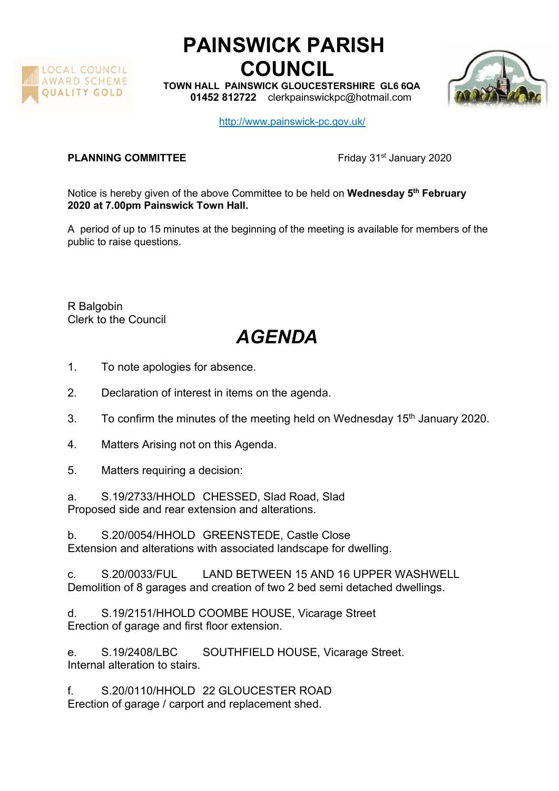

## PAINSWICK PARISH COUNCIL

TOWN HALL PAINSWICK GLOUCESTERSHIRE GL6 6QA 01452 812722 clerkpainswickpc@hotmail.com



http://www.painswick-pc.gov.uk/

## **PLANNING COMMITTEE** Friday 31<sup>st</sup> January 2020

Notice is hereby given of the above Committee to be held on Wednesday 5<sup>th</sup> February 2020 at 7.00pm Painswick Town Hall.

A period of up to 15 minutes at the beginning of the meeting is available for members of the public to raise questions.

R Balgobin Clerk to the Council

## AGENDA

- 1. To note apologies for absence.
- 2. Declaration of interest in items on the agenda.
- 3. To confirm the minutes of the meeting held on Wednesday 15<sup>th</sup> January 2020.
- 4. Matters Arising not on this Agenda.
- 5. Matters requiring a decision:
- a. S.19/2733/HHOLD CHESSED, Slad Road, Slad Proposed side and rear extension and alterations.

b. S.20/0054/HHOLD GREENSTEDE, Castle Close Extension and alterations with associated landscape for dwelling.

c. S.20/0033/FUL LAND BETWEEN 15 AND 16 UPPER WASHWELL Demolition of 8 garages and creation of two 2 bed semi detached dwellings.

d. S.19/2151/HHOLD COOMBE HOUSE, Vicarage Street Erection of garage and first floor extension.

e. S.19/2408/LBC SOUTHFIELD HOUSE, Vicarage Street. Internal alteration to stairs.

f. S.20/0110/HHOLD 22 GLOUCESTER ROAD Erection of garage / carport and replacement shed.